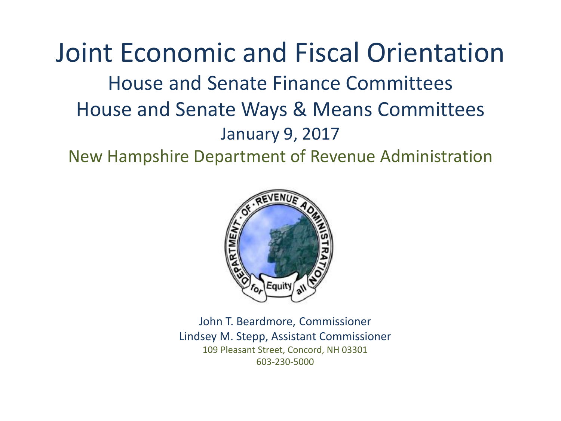Joint Economic and Fiscal Orientation House and Senate Finance Committees House and Senate Ways & Means Committees January 9, 2017

New Hampshire Department of Revenue Administration



John T. Beardmore, Commissioner Lindsey M. Stepp, Assistant Commissioner 109 Pleasant Street, Concord, NH 03301 603-230-5000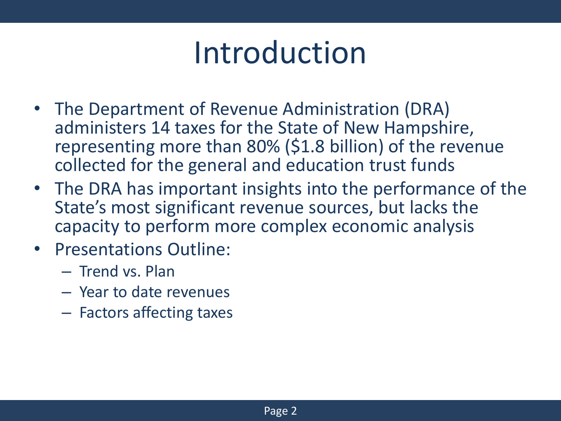## Introduction

- The Department of Revenue Administration (DRA) administers 14 taxes for the State of New Hampshire, representing more than 80% (\$1.8 billion) of the revenue collected for the general and education trust funds
- The DRA has important insights into the performance of the State's most significant revenue sources, but lacks the capacity to perform more complex economic analysis
- Presentations Outline:
	- Trend vs. Plan
	- Year to date revenues
	- Factors affecting taxes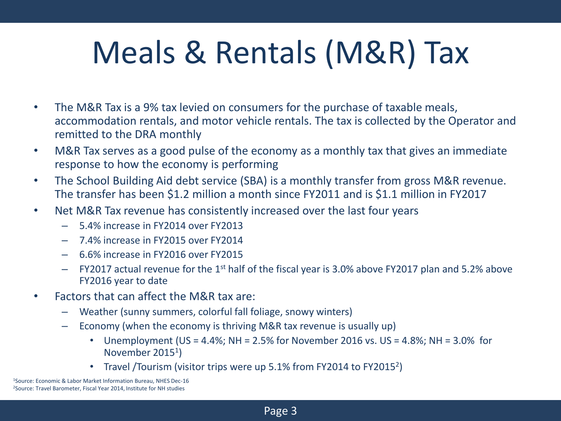## Meals & Rentals (M&R) Tax

- The M&R Tax is a 9% tax levied on consumers for the purchase of taxable meals, accommodation rentals, and motor vehicle rentals. The tax is collected by the Operator and remitted to the DRA monthly
- M&R Tax serves as a good pulse of the economy as a monthly tax that gives an immediate response to how the economy is performing
- The School Building Aid debt service (SBA) is a monthly transfer from gross M&R revenue. The transfer has been \$1.2 million a month since FY2011 and is \$1.1 million in FY2017
- Net M&R Tax revenue has consistently increased over the last four years
	- 5.4% increase in FY2014 over FY2013
	- 7.4% increase in FY2015 over FY2014
	- 6.6% increase in FY2016 over FY2015
	- $-$  FY2017 actual revenue for the 1<sup>st</sup> half of the fiscal year is 3.0% above FY2017 plan and 5.2% above FY2016 year to date
- Factors that can affect the M&R tax are:
	- Weather (sunny summers, colorful fall foliage, snowy winters)
	- Economy (when the economy is thriving M&R tax revenue is usually up)
		- Unemployment (US = 4.4%; NH = 2.5% for November 2016 vs. US = 4.8%; NH =  $3.0\%$  for November 2015<sup>1</sup>)
		- Travel /Tourism (visitor trips were up  $5.1\%$  from FY2014 to FY2015<sup>2</sup>)

<sup>1</sup>Source: Economic & Labor Market Information Bureau, NHES Dec-16 2Source: Travel Barometer, Fiscal Year 2014, Institute for NH studies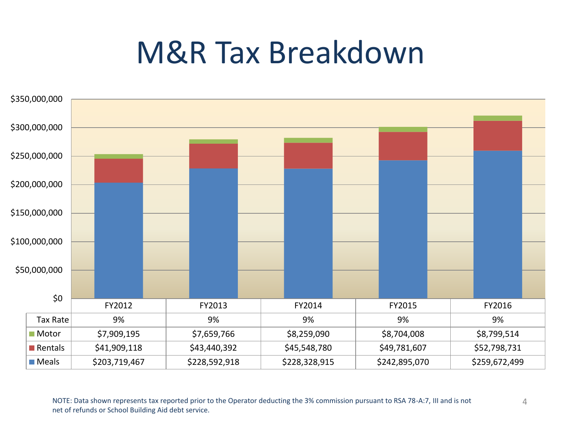## M&R Tax Breakdown



NOTE: Data shown represents tax reported prior to the Operator deducting the 3% commission pursuant to RSA 78-A:7, III and is not 4 net of refunds or School Building Aid debt service.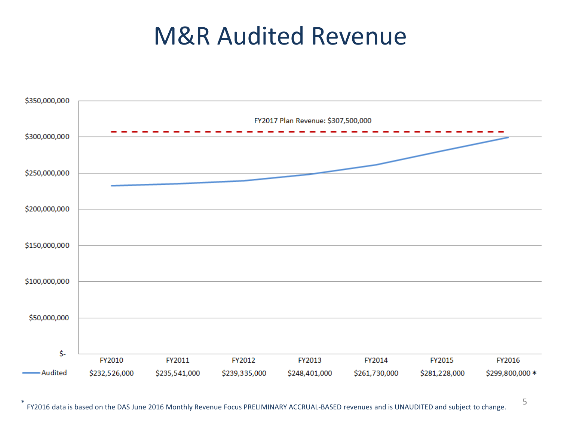#### M&R Audited Revenue

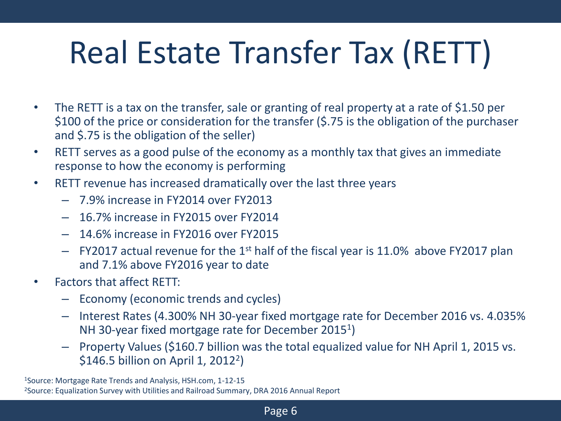# Real Estate Transfer Tax (RETT)

- The RETT is a tax on the transfer, sale or granting of real property at a rate of \$1.50 per \$100 of the price or consideration for the transfer (\$.75 is the obligation of the purchaser and \$.75 is the obligation of the seller)
- RETT serves as a good pulse of the economy as a monthly tax that gives an immediate response to how the economy is performing
- RETT revenue has increased dramatically over the last three years
	- 7.9% increase in FY2014 over FY2013
	- 16.7% increase in FY2015 over FY2014
	- 14.6% increase in FY2016 over FY2015
	- $-$  FY2017 actual revenue for the 1<sup>st</sup> half of the fiscal year is 11.0% above FY2017 plan and 7.1% above FY2016 year to date
- Factors that affect RETT:
	- Economy (economic trends and cycles)
	- Interest Rates (4.300% NH 30-year fixed mortgage rate for December 2016 vs. 4.035% NH 30-year fixed mortgage rate for December 2015<sup>1</sup>)
	- Property Values (\$160.7 billion was the total equalized value for NH April 1, 2015 vs. \$146.5 billion on April 1, 2012<sup>2</sup>)

<sup>1</sup>Source: Mortgage Rate Trends and Analysis, HSH.com, 1-12-15 2Source: Equalization Survey with Utilities and Railroad Summary, DRA 2016 Annual Report

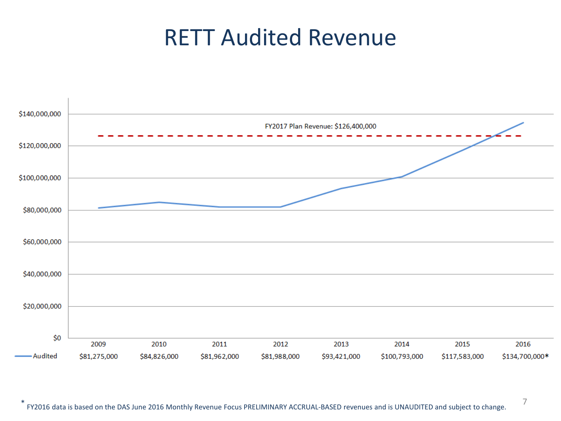#### RETT Audited Revenue

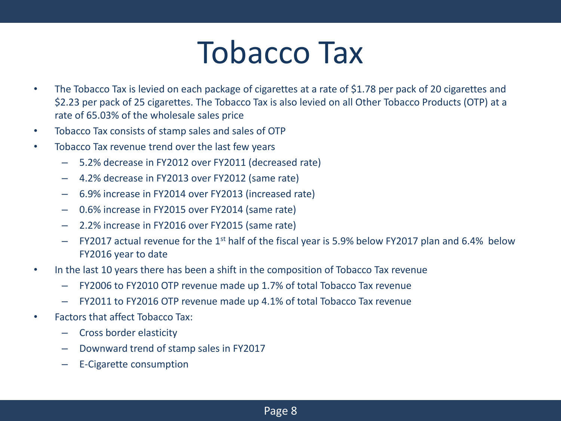## Tobacco Tax

- The Tobacco Tax is levied on each package of cigarettes at a rate of \$1.78 per pack of 20 cigarettes and \$2.23 per pack of 25 cigarettes. The Tobacco Tax is also levied on all Other Tobacco Products (OTP) at a rate of 65.03% of the wholesale sales price
- Tobacco Tax consists of stamp sales and sales of OTP
- Tobacco Tax revenue trend over the last few years
	- 5.2% decrease in FY2012 over FY2011 (decreased rate)
	- 4.2% decrease in FY2013 over FY2012 (same rate)
	- 6.9% increase in FY2014 over FY2013 (increased rate)
	- 0.6% increase in FY2015 over FY2014 (same rate)
	- 2.2% increase in FY2016 over FY2015 (same rate)
	- $-$  FY2017 actual revenue for the 1<sup>st</sup> half of the fiscal year is 5.9% below FY2017 plan and 6.4% below FY2016 year to date
- In the last 10 years there has been a shift in the composition of Tobacco Tax revenue
	- FY2006 to FY2010 OTP revenue made up 1.7% of total Tobacco Tax revenue
	- FY2011 to FY2016 OTP revenue made up 4.1% of total Tobacco Tax revenue
- Factors that affect Tobacco Tax:
	- Cross border elasticity
	- Downward trend of stamp sales in FY2017
	- E-Cigarette consumption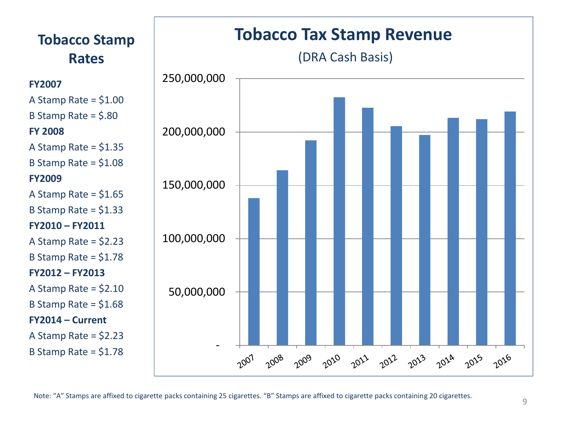

**FY2007** 

**FY 2008**

**FY2009**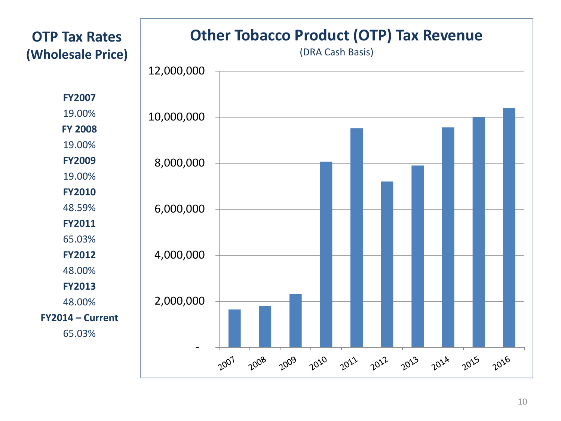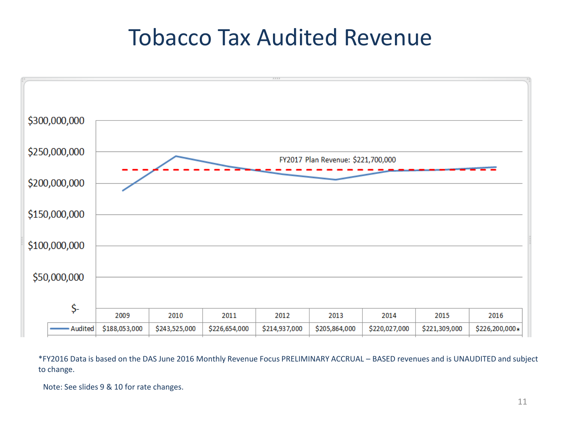#### Tobacco Tax Audited Revenue



\*FY2016 Data is based on the DAS June 2016 Monthly Revenue Focus PRELIMINARY ACCRUAL – BASED revenues and is UNAUDITED and subject to change.

Note: See slides 9 & 10 for rate changes.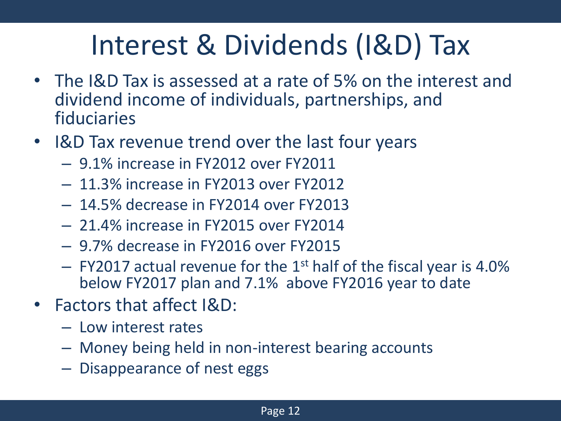## Interest & Dividends (I&D) Tax

- The I&D Tax is assessed at a rate of 5% on the interest and dividend income of individuals, partnerships, and fiduciaries
- I&D Tax revenue trend over the last four years
	- 9.1% increase in FY2012 over FY2011
	- 11.3% increase in FY2013 over FY2012
	- 14.5% decrease in FY2014 over FY2013
	- 21.4% increase in FY2015 over FY2014
	- 9.7% decrease in FY2016 over FY2015
	- $-$  FY2017 actual revenue for the 1<sup>st</sup> half of the fiscal year is 4.0% below FY2017 plan and 7.1% above FY2016 year to date
- Factors that affect I&D:
	- Low interest rates
	- Money being held in non-interest bearing accounts
	- Disappearance of nest eggs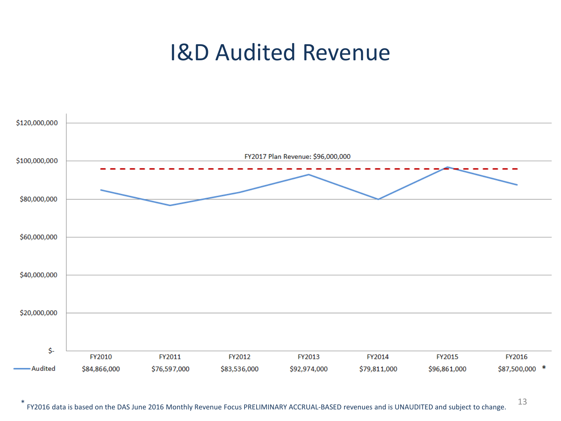#### I&D Audited Revenue

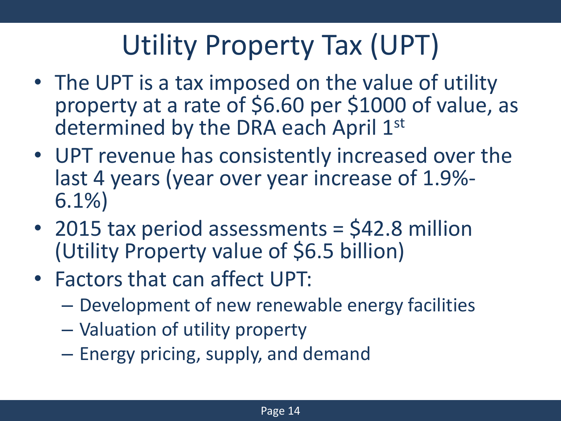## Utility Property Tax (UPT)

- The UPT is a tax imposed on the value of utility property at a rate of \$6.60 per \$1000 of value, as determined by the DRA each April 1st
- UPT revenue has consistently increased over the last 4 years (year over year increase of 1.9%- 6.1%)
- 2015 tax period assessments = \$42.8 million (Utility Property value of \$6.5 billion)
- Factors that can affect UPT:
	- Development of new renewable energy facilities
	- Valuation of utility property
	- Energy pricing, supply, and demand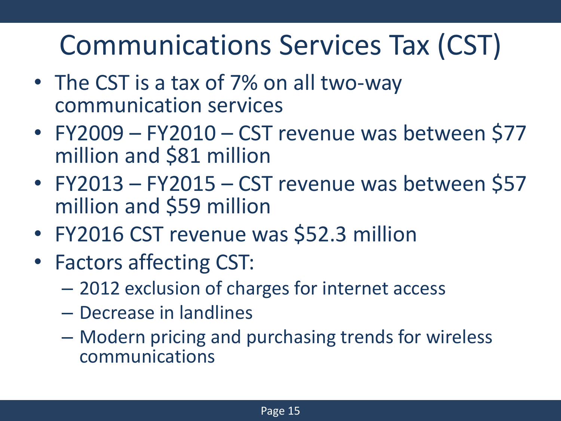### Communications Services Tax (CST)

- The CST is a tax of 7% on all two-way communication services
- FY2009 FY2010 CST revenue was between \$77 million and \$81 million
- FY2013 FY2015 CST revenue was between \$57 million and \$59 million
- FY2016 CST revenue was \$52.3 million
- Factors affecting CST:
	- 2012 exclusion of charges for internet access
	- Decrease in landlines
	- Modern pricing and purchasing trends for wireless communications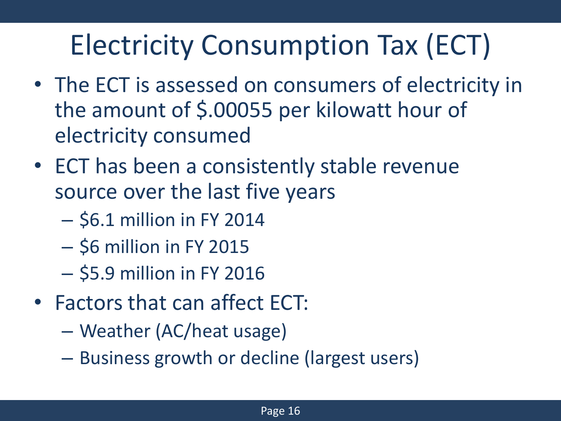## Electricity Consumption Tax (ECT)

- The ECT is assessed on consumers of electricity in the amount of \$.00055 per kilowatt hour of electricity consumed
- ECT has been a consistently stable revenue source over the last five years
	- \$6.1 million in FY 2014
	- $-$  \$6 million in FY 2015
	- \$5.9 million in FY 2016
- Factors that can affect ECT:
	- Weather (AC/heat usage)
	- Business growth or decline (largest users)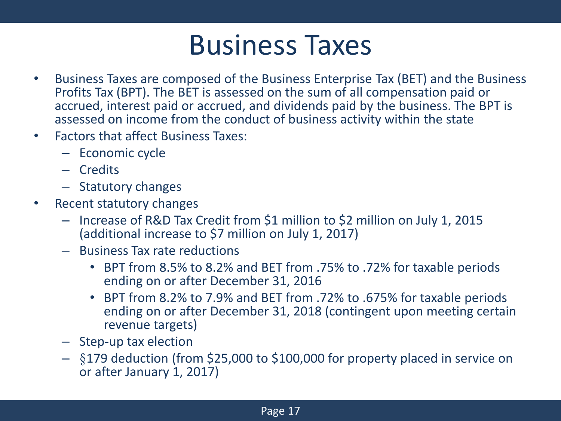#### Business Taxes

- Business Taxes are composed of the Business Enterprise Tax (BET) and the Business Profits Tax (BPT). The BET is assessed on the sum of all compensation paid or accrued, interest paid or accrued, and dividends paid by the business. The BPT is assessed on income from the conduct of business activity within the state
- Factors that affect Business Taxes:
	- Economic cycle
	- Credits
	- Statutory changes
- Recent statutory changes
	- Increase of R&D Tax Credit from \$1 million to \$2 million on July 1, 2015 (additional increase to \$7 million on July 1, 2017)
	- Business Tax rate reductions
		- BPT from 8.5% to 8.2% and BET from .75% to .72% for taxable periods ending on or after December 31, 2016
		- BPT from 8.2% to 7.9% and BET from .72% to .675% for taxable periods ending on or after December 31, 2018 (contingent upon meeting certain revenue targets)
	- Step-up tax election
	- §179 deduction (from \$25,000 to \$100,000 for property placed in service on or after January 1, 2017)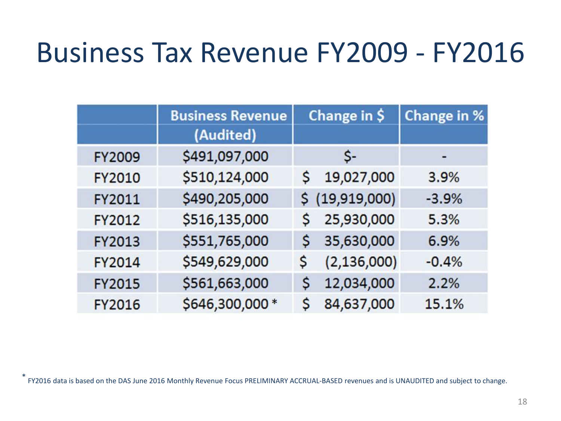#### Business Tax Revenue FY2009 - FY2016

|               | <b>Business Revenue</b> | Change in \$        | Change in % |
|---------------|-------------------------|---------------------|-------------|
|               | (Audited)               |                     |             |
| <b>FY2009</b> | \$491,097,000           | \$-                 |             |
| <b>FY2010</b> | \$510,124,000           | 19,027,000<br>S.    | 3.9%        |
| FY2011        | \$490,205,000           | \$ (19,919,000)     | $-3.9%$     |
| FY2012        | \$516,135,000           | 25,930,000<br>S.    | 5.3%        |
| <b>FY2013</b> | \$551,765,000           | 35,630,000<br>S     | 6.9%        |
| <b>FY2014</b> | \$549,629,000           | (2, 136, 000)<br>\$ | $-0.4%$     |
| <b>FY2015</b> | \$561,663,000           | 12,034,000<br>S     | 2.2%        |
| <b>FY2016</b> | \$646,300,000 *         | 84,637,000<br>S     | 15.1%       |

\* FY2016 data is based on the DAS June 2016 Monthly Revenue Focus PRELIMINARY ACCRUAL-BASED revenues and is UNAUDITED and subject to change.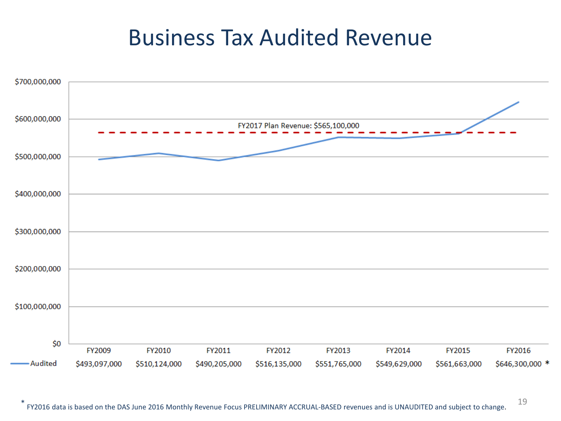#### Business Tax Audited Revenue

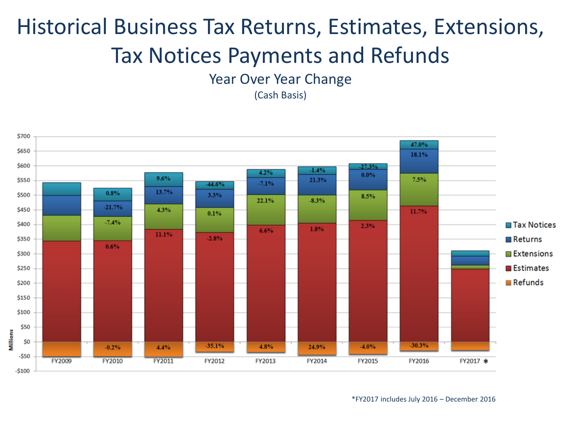#### Historical Business Tax Returns, Estimates, Extensions, Tax Notices Payments and Refunds

Year Over Year Change

(Cash Basis)

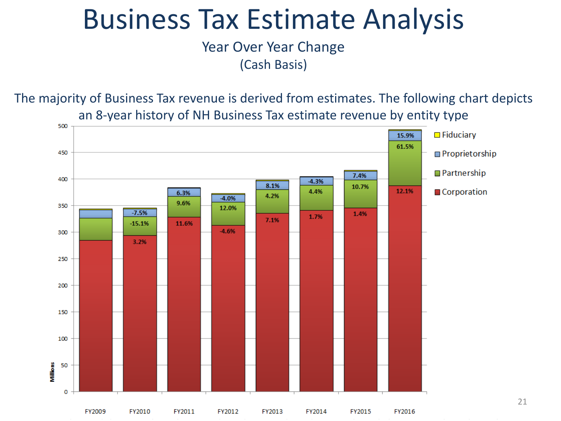#### Business Tax Estimate Analysis

Year Over Year Change (Cash Basis)

The majority of Business Tax revenue is derived from estimates. The following chart depicts an 8-year history of NH Business Tax estimate revenue by entity type



21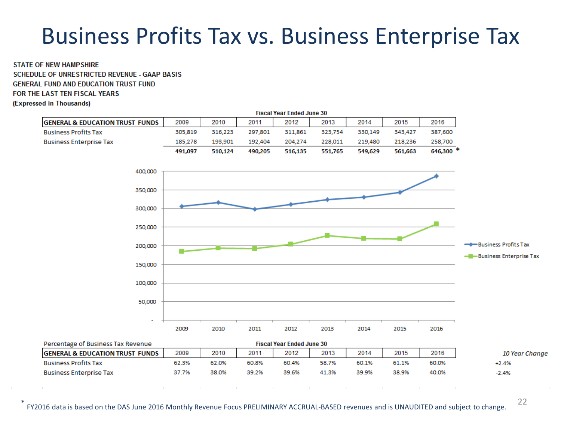#### Business Profits Tax vs. Business Enterprise Tax

**STATE OF NEW HAMPSHIRE SCHEDULE OF UNRESTRICTED REVENUE - GAAP BASIS GENERAL FUND AND EDUCATION TRUST FUND** FOR THE LAST TEN FISCAL YEARS (Expressed in Thousands)

| <b>Fiscal Year Ended June 30</b>           |         |         |         |         |         |         |         |           |                                                    |
|--------------------------------------------|---------|---------|---------|---------|---------|---------|---------|-----------|----------------------------------------------------|
| <b>GENERAL &amp; EDUCATION TRUST FUNDS</b> | 2009    | 2010    | 2011    | 2012    | 2013    | 2014    | 2015    | 2016      |                                                    |
| <b>Business Profits Tax</b>                | 305,819 | 316,223 | 297,801 | 311,861 | 323,754 | 330,149 | 343,427 | 387,600   |                                                    |
| <b>Business Enterprise Tax</b>             | 185,278 | 193,901 | 192,404 | 204,274 | 228,011 | 219,480 | 218,236 | 258,700   |                                                    |
|                                            | 491,097 | 510,124 | 490,205 | 516,135 | 551,765 | 549,629 | 561,663 | 646,300 * |                                                    |
| 400,000                                    |         |         |         |         |         |         |         |           |                                                    |
| 350,000                                    |         |         |         |         |         |         |         |           |                                                    |
| 300,000                                    |         |         |         |         |         |         |         |           |                                                    |
| 250,000                                    |         |         |         |         |         |         |         |           |                                                    |
| 200,000                                    |         |         |         |         |         |         |         |           | - Business Profits Tax<br>-Business Enterprise Tax |
| 150,000                                    |         |         |         |         |         |         |         |           |                                                    |
| 100,000                                    |         |         |         |         |         |         |         |           |                                                    |
| 50,000                                     |         |         |         |         |         |         |         |           |                                                    |
| ٠                                          |         |         |         |         |         |         |         |           |                                                    |
|                                            | 2009    | 2010    | 2011    | 2012    | 2013    | 2014    | 2015    | 2016      |                                                    |
|                                            |         |         |         |         |         |         |         |           |                                                    |

| Percentage of Business Tax Revenue          |       |       |       | <b>Fiscal Year Ended June 30</b> |       |       |       |       |                |
|---------------------------------------------|-------|-------|-------|----------------------------------|-------|-------|-------|-------|----------------|
| <b>IGENERAL &amp; EDUCATION TRUST FUNDS</b> | 2009  | 2010  | 2011  | 2012                             | 2013  | 2014  | 2015  | 2016  | 10 Year Change |
| <b>Business Profits Tax</b>                 | 62.3% | 62.0% | 60.8% | 60.4%                            | 58.7% | 60.1% | 61.1% | 60.0% | $+2.4%$        |
| <b>Business Enterprise Tax</b>              | 37.7% | 38.0% | 39.2% | 39.6%                            | 41.3% | 39.9% | 38.9% | 40.0% | $-2.4%$        |

\* FY2016 data is based on the DAS June 2016 Monthly Revenue Focus PRELIMINARY ACCRUAL-BASED revenues and is UNAUDITED and subject to change.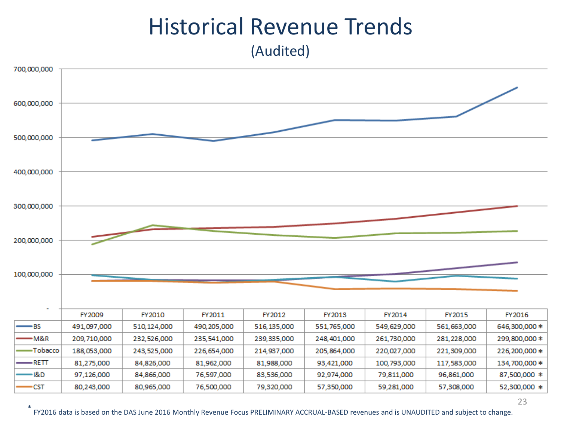#### Historical Revenue Trends (Audited)



23

\* FY2016 data is based on the DAS June 2016 Monthly Revenue Focus PRELIMINARY ACCRUAL-BASED revenues and is UNAUDITED and subject to change.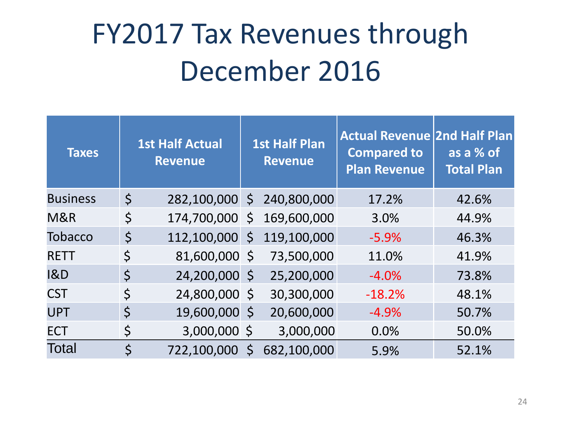## FY2017 Tax Revenues through December 2016

| <b>Taxes</b>    |             | <b>1st Half Actual</b><br><b>Revenue</b> |   | <b>1st Half Plan</b><br><b>Revenue</b> | <b>Actual Revenue 2nd Half Plan</b><br><b>Compared to</b><br><b>Plan Revenue</b> | as a % of<br><b>Total Plan</b> |
|-----------------|-------------|------------------------------------------|---|----------------------------------------|----------------------------------------------------------------------------------|--------------------------------|
| <b>Business</b> | $\zeta$     | 282,100,000 \$                           |   | 240,800,000                            | 17.2%                                                                            | 42.6%                          |
| M&R             | $\zeta$     | 174,700,000 \$                           |   | 169,600,000                            | 3.0%                                                                             | 44.9%                          |
| <b>Tobacco</b>  | $\varsigma$ | 112,100,000 \$                           |   | 119,100,000                            | $-5.9%$                                                                          | 46.3%                          |
| <b>RETT</b>     | \$          | 81,600,000 \$                            |   | 73,500,000                             | 11.0%                                                                            | 41.9%                          |
| 18D             | $\zeta$     | 24,200,000 \$                            |   | 25,200,000                             | $-4.0%$                                                                          | 73.8%                          |
| <b>CST</b>      | \$          | 24,800,000 \$                            |   | 30,300,000                             | $-18.2%$                                                                         | 48.1%                          |
| <b>UPT</b>      | \$          | 19,600,000 \$                            |   | 20,600,000                             | $-4.9%$                                                                          | 50.7%                          |
| <b>ECT</b>      | \$          | 3,000,000 \$                             |   | 3,000,000                              | 0.0%                                                                             | 50.0%                          |
| Total           | \$          | 722,100,000                              | Ś | 682,100,000                            | 5.9%                                                                             | 52.1%                          |